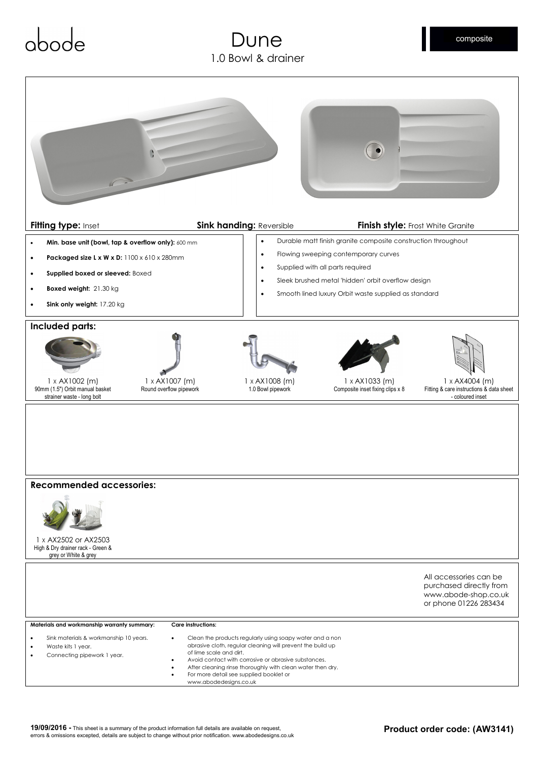